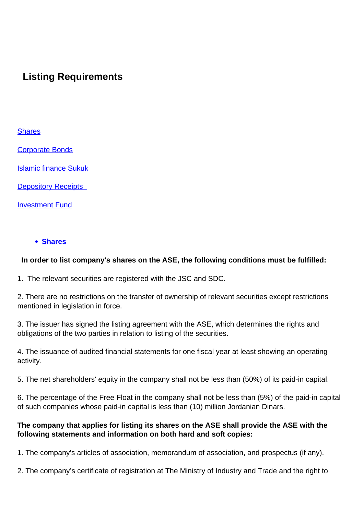# **Listing Requirements**

#### **Shares**

Corporate Bonds

Islamic finance Sukuk

**Depository Receipts** 

Investment Fund

#### **[Shares](/en/products-services/securties-types/shares)**

#### **In order to list company's shares on the ASE, the following conditions must be fulfilled:**

1. The relevant securities are registered with the JSC and SDC.

2. There are no restrictions on the transfer of ownership of relevant securities except restrictions mentioned in legislation in force.

3. The issuer has signed the listing agreement with the ASE, which determines the rights and obligations of the two parties in relation to listing of the securities.

4. The issuance of audited financial statements for one fiscal year at least showing an operating activity.

5. The net shareholders' equity in the company shall not be less than (50%) of its paid-in capital.

6. The percentage of the Free Float in the company shall not be less than (5%) of the paid-in capital of such companies whose paid-in capital is less than (10) million Jordanian Dinars.

#### **The company that applies for listing its shares on the ASE shall provide the ASE with the following statements and information on both hard and soft copies:**

1. The company's articles of association, memorandum of association, and prospectus (if any).

2. The company's certificate of registration at The Ministry of Industry and Trade and the right to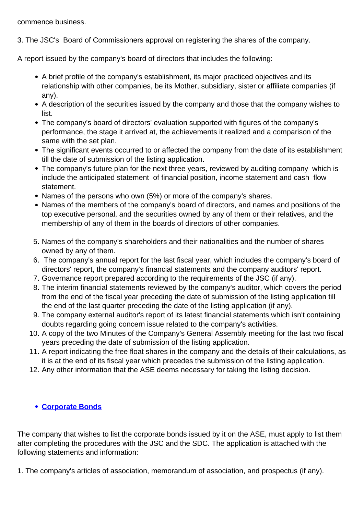commence business.

3. The JSC's Board of Commissioners approval on registering the shares of the company.

A report issued by the company's board of directors that includes the following:

- A brief profile of the company's establishment, its major practiced objectives and its relationship with other companies, be its Mother, subsidiary, sister or affiliate companies (if any).
- A description of the securities issued by the company and those that the company wishes to list.
- The company's board of directors' evaluation supported with figures of the company's performance, the stage it arrived at, the achievements it realized and a comparison of the same with the set plan.
- The significant events occurred to or affected the company from the date of its establishment till the date of submission of the listing application.
- The company's future plan for the next three years, reviewed by auditing company which is include the anticipated statement of financial position, income statement and cash flow statement.
- Names of the persons who own (5%) or more of the company's shares.
- Names of the members of the company's board of directors, and names and positions of the top executive personal, and the securities owned by any of them or their relatives, and the membership of any of them in the boards of directors of other companies.
- 5. Names of the company's shareholders and their nationalities and the number of shares owned by any of them.
- 6. The company's annual report for the last fiscal year, which includes the company's board of directors' report, the company's financial statements and the company auditors' report.
- 7. Governance report prepared according to the requirements of the JSC (if any).
- 8. The interim financial statements reviewed by the company's auditor, which covers the period from the end of the fiscal year preceding the date of submission of the listing application till the end of the last quarter preceding the date of the listing application (if any).
- 9. The company external auditor's report of its latest financial statements which isn't containing doubts regarding going concern issue related to the company's activities.
- 10. A copy of the two Minutes of the Company's General Assembly meeting for the last two fiscal years preceding the date of submission of the listing application.
- 11. A report indicating the free float shares in the company and the details of their calculations, as it is at the end of its fiscal year which precedes the submission of the listing application.
- 12. Any other information that the ASE deems necessary for taking the listing decision.

## **[Corporate Bonds](/en/products-services/securties-types/bonds/all)**

The company that wishes to list the corporate bonds issued by it on the ASE, must apply to list them after completing the procedures with the JSC and the SDC. The application is attached with the following statements and information:

1. The company's articles of association, memorandum of association, and prospectus (if any).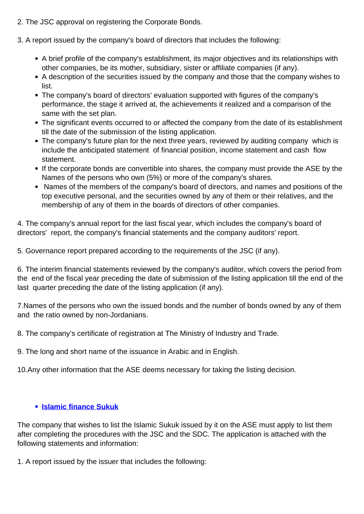- 2. The JSC approval on registering the Corporate Bonds.
- 3. A report issued by the company's board of directors that includes the following:
	- A brief profile of the company's establishment, its major objectives and its relationships with other companies, be its mother, subsidiary, sister or affiliate companies (if any).
	- A description of the securities issued by the company and those that the company wishes to list.
	- The company's board of directors' evaluation supported with figures of the company's performance, the stage it arrived at, the achievements it realized and a comparison of the same with the set plan.
	- The significant events occurred to or affected the company from the date of its establishment till the date of the submission of the listing application.
	- The company's future plan for the next three years, reviewed by auditing company which is include the anticipated statement of financial position, income statement and cash flow statement.
	- If the corporate bonds are convertible into shares, the company must provide the ASE by the Names of the persons who own (5%) or more of the company's shares.
	- Names of the members of the company's board of directors, and names and positions of the top executive personal, and the securities owned by any of them or their relatives, and the membership of any of them in the boards of directors of other companies.

4. The company's annual report for the last fiscal year, which includes the company's board of directors' report, the company's financial statements and the company auditors' report.

5. Governance report prepared according to the requirements of the JSC (if any).

6. The interim financial statements reviewed by the company's auditor, which covers the period from the end of the fiscal year preceding the date of submission of the listing application till the end of the last quarter preceding the date of the listing application (if any).

7.Names of the persons who own the issued bonds and the number of bonds owned by any of them and the ratio owned by non-Jordanians.

8. The company's certificate of registration at The Ministry of Industry and Trade.

9. The long and short name of the issuance in Arabic and in English.

10.Any other information that the ASE deems necessary for taking the listing decision.

# **[Islamic finance Sukuk](/en/products-services/securties-types/sukuk)**

The company that wishes to list the Islamic Sukuk issued by it on the ASE must apply to list them after completing the procedures with the JSC and the SDC. The application is attached with the following statements and information:

1. A report issued by the issuer that includes the following: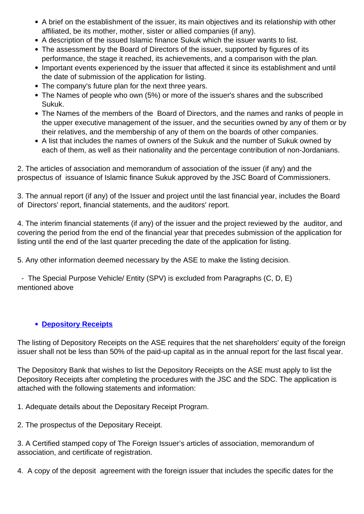- A brief on the establishment of the issuer, its main objectives and its relationship with other affiliated, be its mother, mother, sister or allied companies (if any).
- A description of the issued Islamic finance Sukuk which the issuer wants to list.
- The assessment by the Board of Directors of the issuer, supported by figures of its performance, the stage it reached, its achievements, and a comparison with the plan.
- Important events experienced by the issuer that affected it since its establishment and until the date of submission of the application for listing.
- The company's future plan for the next three years.
- The Names of people who own (5%) or more of the issuer's shares and the subscribed Sukuk.
- The Names of the members of the Board of Directors, and the names and ranks of people in the upper executive management of the issuer, and the securities owned by any of them or by their relatives, and the membership of any of them on the boards of other companies.
- A list that includes the names of owners of the Sukuk and the number of Sukuk owned by each of them, as well as their nationality and the percentage contribution of non-Jordanians.

2. The articles of association and memorandum of association of the issuer (if any) and the prospectus of issuance of Islamic finance Sukuk approved by the JSC Board of Commissioners.

3. The annual report (if any) of the Issuer and project until the last financial year, includes the Board of Directors' report, financial statements, and the auditors' report.

4. The interim financial statements (if any) of the issuer and the project reviewed by the auditor, and covering the period from the end of the financial year that precedes submission of the application for listing until the end of the last quarter preceding the date of the application for listing.

5. Any other information deemed necessary by the ASE to make the listing decision.

 - The Special Purpose Vehicle/ Entity (SPV) is excluded from Paragraphs (C, D, E) mentioned above

## **[Depository Receipts](/en/products-services/securties-types/depository-receipts)**

The listing of Depository Receipts on the ASE requires that the net shareholders' equity of the foreign issuer shall not be less than 50% of the paid-up capital as in the annual report for the last fiscal year.

The Depository Bank that wishes to list the Depository Receipts on the ASE must apply to list the Depository Receipts after completing the procedures with the JSC and the SDC. The application is attached with the following statements and information:

1. Adequate details about the Depositary Receipt Program.

2. The prospectus of the Depositary Receipt.

3. A Certified stamped copy of The Foreign Issuer's articles of association, memorandum of association, and certificate of registration.

4. A copy of the deposit agreement with the foreign issuer that includes the specific dates for the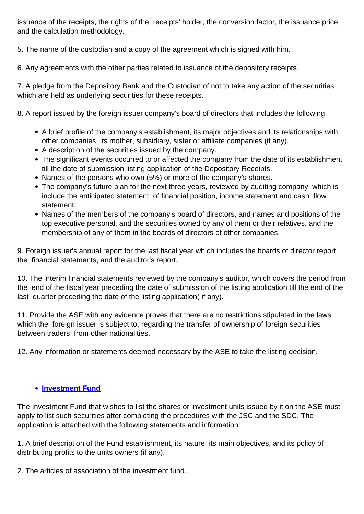issuance of the receipts, the rights of the receipts' holder, the conversion factor, the issuance price and the calculation methodology.

5. The name of the custodian and a copy of the agreement which is signed with him.

6. Any agreements with the other parties related to issuance of the depository receipts.

7. A pledge from the Depository Bank and the Custodian of not to take any action of the securities which are held as underlying securities for these receipts.

8. A report issued by the foreign issuer company's board of directors that includes the following:

- A brief profile of the company's establishment, its major objectives and its relationships with other companies, its mother, subsidiary, sister or affiliate companies (if any).
- A description of the securities issued by the company.
- The significant events occurred to or affected the company from the date of its establishment till the date of submission listing application of the Depository Receipts.
- Names of the persons who own (5%) or more of the company's shares.
- The company's future plan for the next three years, reviewed by auditing company which is include the anticipated statement of financial position, income statement and cash flow statement.
- Names of the members of the company's board of directors, and names and positions of the top executive personal, and the securities owned by any of them or their relatives, and the membership of any of them in the boards of directors of other companies.

9. Foreign issuer's annual report for the last fiscal year which includes the boards of director report, the financial statements, and the auditor's report.

10. The interim financial statements reviewed by the company's auditor, which covers the period from the end of the fiscal year preceding the date of submission of the listing application till the end of the last quarter preceding the date of the listing application( if any).

11. Provide the ASE with any evidence proves that there are no restrictions stipulated in the laws which the foreign issuer is subject to, regarding the transfer of ownership of foreign securities between traders from other nationalities.

12. Any information or statements deemed necessary by the ASE to take the listing decision.

## **[Investment Fund](/en/products-services/securties-types/investment-funds)**

The Investment Fund that wishes to list the shares or investment units issued by it on the ASE must apply to list such securities after completing the procedures with the JSC and the SDC. The application is attached with the following statements and information:

1. A brief description of the Fund establishment, its nature, its main objectives, and its policy of distributing profits to the units owners (if any).

2. The articles of association of the investment fund.